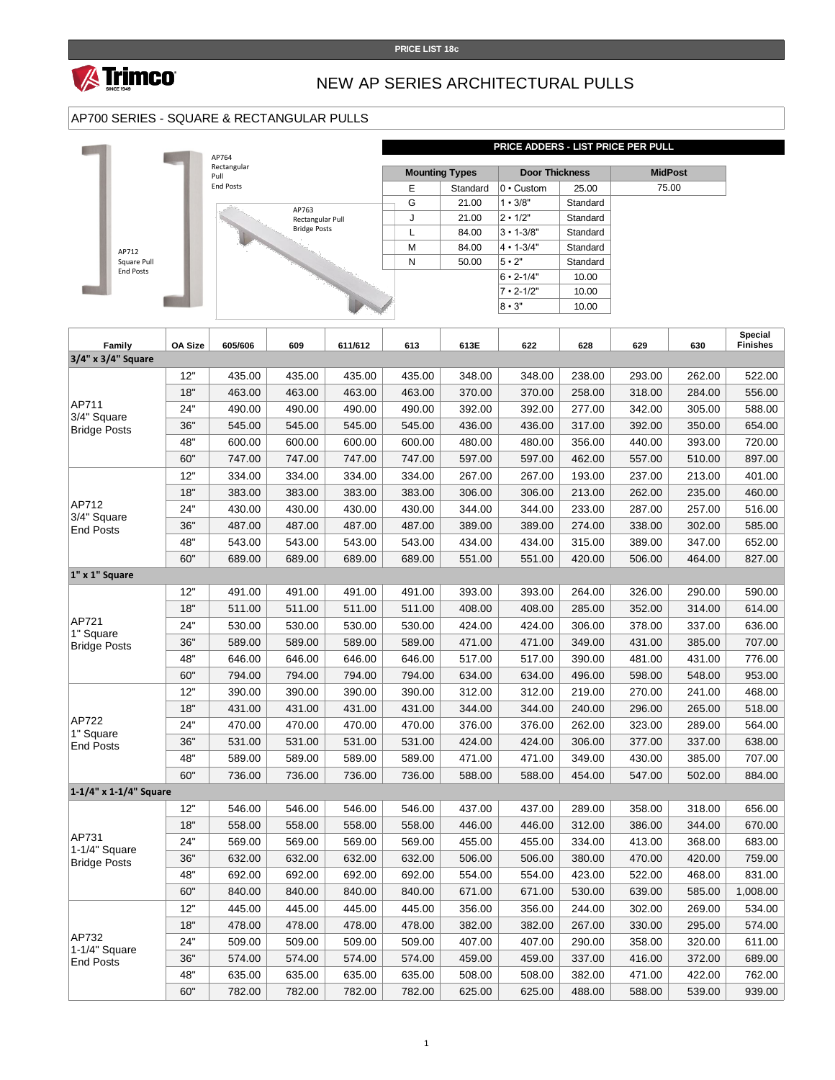



### NEW AP SERIES ARCHITECTURAL PULLS

### AP700 SERIES - SQUARE & RECTANGULAR PULLS



| Family                               | OA Size | 605/606 | 609    | 611/612 | 613    | 613E   | 622    | 628    | 629    | 630    | Special<br><b>Finishes</b> |
|--------------------------------------|---------|---------|--------|---------|--------|--------|--------|--------|--------|--------|----------------------------|
| 3/4" x 3/4" Square                   |         |         |        |         |        |        |        |        |        |        |                            |
|                                      | 12"     | 435.00  | 435.00 | 435.00  | 435.00 | 348.00 | 348.00 | 238.00 | 293.00 | 262.00 | 522.00                     |
|                                      | 18"     | 463.00  | 463.00 | 463.00  | 463.00 | 370.00 | 370.00 | 258.00 | 318.00 | 284.00 | 556.00                     |
| AP711                                | 24"     | 490.00  | 490.00 | 490.00  | 490.00 | 392.00 | 392.00 | 277.00 | 342.00 | 305.00 | 588.00                     |
| 3/4" Square<br><b>Bridge Posts</b>   | 36"     | 545.00  | 545.00 | 545.00  | 545.00 | 436.00 | 436.00 | 317.00 | 392.00 | 350.00 | 654.00                     |
|                                      | 48"     | 600.00  | 600.00 | 600.00  | 600.00 | 480.00 | 480.00 | 356.00 | 440.00 | 393.00 | 720.00                     |
|                                      | 60"     | 747.00  | 747.00 | 747.00  | 747.00 | 597.00 | 597.00 | 462.00 | 557.00 | 510.00 | 897.00                     |
|                                      | 12"     | 334.00  | 334.00 | 334.00  | 334.00 | 267.00 | 267.00 | 193.00 | 237.00 | 213.00 | 401.00                     |
|                                      | 18"     | 383.00  | 383.00 | 383.00  | 383.00 | 306.00 | 306.00 | 213.00 | 262.00 | 235.00 | 460.00                     |
| AP712                                | 24"     | 430.00  | 430.00 | 430.00  | 430.00 | 344.00 | 344.00 | 233.00 | 287.00 | 257.00 | 516.00                     |
| 3/4" Square<br><b>End Posts</b>      | 36"     | 487.00  | 487.00 | 487.00  | 487.00 | 389.00 | 389.00 | 274.00 | 338.00 | 302.00 | 585.00                     |
|                                      | 48"     | 543.00  | 543.00 | 543.00  | 543.00 | 434.00 | 434.00 | 315.00 | 389.00 | 347.00 | 652.00                     |
|                                      | 60"     | 689.00  | 689.00 | 689.00  | 689.00 | 551.00 | 551.00 | 420.00 | 506.00 | 464.00 | 827.00                     |
| 1" x 1" Square                       |         |         |        |         |        |        |        |        |        |        |                            |
|                                      | 12"     | 491.00  | 491.00 | 491.00  | 491.00 | 393.00 | 393.00 | 264.00 | 326.00 | 290.00 | 590.00                     |
|                                      | 18"     | 511.00  | 511.00 | 511.00  | 511.00 | 408.00 | 408.00 | 285.00 | 352.00 | 314.00 | 614.00                     |
| AP721                                | 24"     | 530.00  | 530.00 | 530.00  | 530.00 | 424.00 | 424.00 | 306.00 | 378.00 | 337.00 | 636.00                     |
| 1" Square<br><b>Bridge Posts</b>     | 36"     | 589.00  | 589.00 | 589.00  | 589.00 | 471.00 | 471.00 | 349.00 | 431.00 | 385.00 | 707.00                     |
|                                      | 48"     | 646.00  | 646.00 | 646.00  | 646.00 | 517.00 | 517.00 | 390.00 | 481.00 | 431.00 | 776.00                     |
|                                      | 60"     | 794.00  | 794.00 | 794.00  | 794.00 | 634.00 | 634.00 | 496.00 | 598.00 | 548.00 | 953.00                     |
|                                      | 12"     | 390.00  | 390.00 | 390.00  | 390.00 | 312.00 | 312.00 | 219.00 | 270.00 | 241.00 | 468.00                     |
|                                      | 18"     | 431.00  | 431.00 | 431.00  | 431.00 | 344.00 | 344.00 | 240.00 | 296.00 | 265.00 | 518.00                     |
| AP722<br>1" Square                   | 24"     | 470.00  | 470.00 | 470.00  | 470.00 | 376.00 | 376.00 | 262.00 | 323.00 | 289.00 | 564.00                     |
| <b>End Posts</b>                     | 36"     | 531.00  | 531.00 | 531.00  | 531.00 | 424.00 | 424.00 | 306.00 | 377.00 | 337.00 | 638.00                     |
|                                      | 48"     | 589.00  | 589.00 | 589.00  | 589.00 | 471.00 | 471.00 | 349.00 | 430.00 | 385.00 | 707.00                     |
|                                      | 60"     | 736.00  | 736.00 | 736.00  | 736.00 | 588.00 | 588.00 | 454.00 | 547.00 | 502.00 | 884.00                     |
| 1-1/4" x 1-1/4" Square               |         |         |        |         |        |        |        |        |        |        |                            |
|                                      | 12"     | 546.00  | 546.00 | 546.00  | 546.00 | 437.00 | 437.00 | 289.00 | 358.00 | 318.00 | 656.00                     |
|                                      | 18"     | 558.00  | 558.00 | 558.00  | 558.00 | 446.00 | 446.00 | 312.00 | 386.00 | 344.00 | 670.00                     |
| AP731                                | 24"     | 569.00  | 569.00 | 569.00  | 569.00 | 455.00 | 455.00 | 334.00 | 413.00 | 368.00 | 683.00                     |
| 1-1/4" Square<br><b>Bridge Posts</b> | 36"     | 632.00  | 632.00 | 632.00  | 632.00 | 506.00 | 506.00 | 380.00 | 470.00 | 420.00 | 759.00                     |
|                                      | 48"     | 692.00  | 692.00 | 692.00  | 692.00 | 554.00 | 554.00 | 423.00 | 522.00 | 468.00 | 831.00                     |
|                                      | 60"     | 840.00  | 840.00 | 840.00  | 840.00 | 671.00 | 671.00 | 530.00 | 639.00 | 585.00 | 1,008.00                   |
|                                      | 12"     | 445.00  | 445.00 | 445.00  | 445.00 | 356.00 | 356.00 | 244.00 | 302.00 | 269.00 | 534.00                     |
| AP732                                | 18"     | 478.00  | 478.00 | 478.00  | 478.00 | 382.00 | 382.00 | 267.00 | 330.00 | 295.00 | 574.00                     |
|                                      | 24"     | 509.00  | 509.00 | 509.00  | 509.00 | 407.00 | 407.00 | 290.00 | 358.00 | 320.00 | 611.00                     |
| 1-1/4" Square<br><b>End Posts</b>    | 36"     | 574.00  | 574.00 | 574.00  | 574.00 | 459.00 | 459.00 | 337.00 | 416.00 | 372.00 | 689.00                     |
|                                      | 48"     | 635.00  | 635.00 | 635.00  | 635.00 | 508.00 | 508.00 | 382.00 | 471.00 | 422.00 | 762.00                     |
|                                      | 60"     | 782.00  | 782.00 | 782.00  | 782.00 | 625.00 | 625.00 | 488.00 | 588.00 | 539.00 | 939.00                     |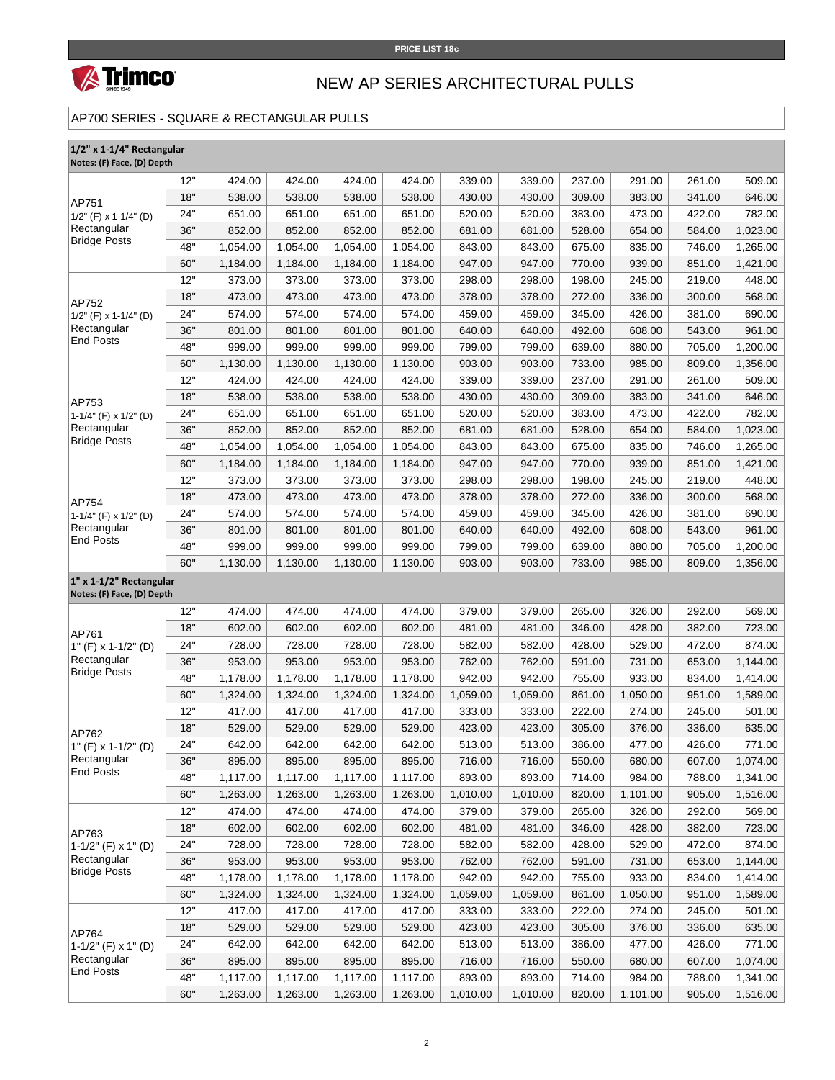

# NEW AP SERIES ARCHITECTURAL PULLS

#### AP700 SERIES - SQUARE & RECTANGULAR PULLS

| 1/2" x 1-1/4" Rectangular<br>Notes: (F) Face, (D) Depth                 |     |          |          |          |          |          |          |        |          |        |          |
|-------------------------------------------------------------------------|-----|----------|----------|----------|----------|----------|----------|--------|----------|--------|----------|
| AP751<br>$1/2$ " (F) x 1-1/4" (D)<br>Rectangular<br><b>Bridge Posts</b> | 12" | 424.00   | 424.00   | 424.00   | 424.00   | 339.00   | 339.00   | 237.00 | 291.00   | 261.00 | 509.00   |
|                                                                         | 18" | 538.00   | 538.00   | 538.00   | 538.00   | 430.00   | 430.00   | 309.00 | 383.00   | 341.00 | 646.00   |
|                                                                         | 24" | 651.00   | 651.00   | 651.00   | 651.00   | 520.00   | 520.00   | 383.00 | 473.00   | 422.00 | 782.00   |
|                                                                         | 36" | 852.00   | 852.00   | 852.00   | 852.00   | 681.00   | 681.00   | 528.00 | 654.00   | 584.00 | 1,023.00 |
|                                                                         | 48" | 1,054.00 | 1,054.00 | 1,054.00 | 1,054.00 | 843.00   | 843.00   | 675.00 | 835.00   | 746.00 | 1,265.00 |
|                                                                         | 60" | 1,184.00 | 1,184.00 | 1,184.00 | 1,184.00 | 947.00   | 947.00   | 770.00 | 939.00   | 851.00 | 1,421.00 |
|                                                                         | 12" | 373.00   | 373.00   | 373.00   | 373.00   | 298.00   | 298.00   | 198.00 | 245.00   | 219.00 | 448.00   |
|                                                                         | 18" | 473.00   | 473.00   | 473.00   | 473.00   | 378.00   | 378.00   | 272.00 | 336.00   | 300.00 | 568.00   |
| AP752<br>$1/2$ " (F) x 1-1/4" (D)                                       | 24" | 574.00   | 574.00   | 574.00   | 574.00   | 459.00   | 459.00   | 345.00 | 426.00   | 381.00 | 690.00   |
| Rectangular                                                             | 36" | 801.00   | 801.00   | 801.00   | 801.00   | 640.00   | 640.00   | 492.00 | 608.00   | 543.00 | 961.00   |
| <b>End Posts</b>                                                        | 48" | 999.00   | 999.00   | 999.00   | 999.00   | 799.00   | 799.00   | 639.00 | 880.00   | 705.00 | 1,200.00 |
|                                                                         | 60" | 1,130.00 | 1,130.00 | 1,130.00 | 1,130.00 | 903.00   | 903.00   | 733.00 | 985.00   | 809.00 | 1,356.00 |
|                                                                         | 12" | 424.00   | 424.00   | 424.00   | 424.00   | 339.00   | 339.00   | 237.00 | 291.00   | 261.00 | 509.00   |
|                                                                         | 18" | 538.00   | 538.00   | 538.00   | 538.00   | 430.00   | 430.00   | 309.00 | 383.00   | 341.00 | 646.00   |
| AP753<br>1-1/4" (F) x 1/2" (D)                                          | 24" | 651.00   | 651.00   | 651.00   | 651.00   | 520.00   | 520.00   | 383.00 | 473.00   | 422.00 | 782.00   |
| Rectangular                                                             | 36" | 852.00   | 852.00   | 852.00   | 852.00   | 681.00   | 681.00   | 528.00 | 654.00   | 584.00 | 1,023.00 |
| <b>Bridge Posts</b>                                                     | 48" | 1,054.00 | 1,054.00 | 1,054.00 | 1,054.00 | 843.00   | 843.00   | 675.00 | 835.00   | 746.00 | 1,265.00 |
|                                                                         | 60" | 1,184.00 | 1,184.00 | 1,184.00 | 1,184.00 | 947.00   | 947.00   | 770.00 | 939.00   | 851.00 | 1,421.00 |
|                                                                         | 12" | 373.00   | 373.00   | 373.00   | 373.00   | 298.00   | 298.00   | 198.00 | 245.00   | 219.00 | 448.00   |
|                                                                         | 18" | 473.00   | 473.00   | 473.00   | 473.00   | 378.00   | 378.00   | 272.00 | 336.00   | 300.00 | 568.00   |
| AP754<br>$1-1/4$ " (F) x $1/2$ " (D)                                    | 24" | 574.00   | 574.00   | 574.00   | 574.00   | 459.00   | 459.00   | 345.00 | 426.00   | 381.00 | 690.00   |
| Rectangular<br><b>End Posts</b>                                         | 36" | 801.00   | 801.00   | 801.00   | 801.00   | 640.00   | 640.00   | 492.00 | 608.00   | 543.00 | 961.00   |
|                                                                         | 48" | 999.00   | 999.00   | 999.00   | 999.00   | 799.00   | 799.00   | 639.00 | 880.00   | 705.00 | 1,200.00 |
|                                                                         | 60" | 1,130.00 | 1,130.00 | 1,130.00 | 1,130.00 | 903.00   | 903.00   | 733.00 | 985.00   | 809.00 | 1,356.00 |
| 1" x 1-1/2" Rectangular<br>Notes: (F) Face, (D) Depth                   |     |          |          |          |          |          |          |        |          |        |          |
|                                                                         | 12" | 474.00   | 474.00   | 474.00   | 474.00   | 379.00   | 379.00   | 265.00 | 326.00   | 292.00 | 569.00   |
| AP761                                                                   | 18" | 602.00   | 602.00   | 602.00   | 602.00   | 481.00   | 481.00   | 346.00 | 428.00   | 382.00 | 723.00   |
| 1" (F) x 1-1/2" (D)                                                     | 24" | 728.00   | 728.00   | 728.00   | 728.00   | 582.00   | 582.00   | 428.00 | 529.00   | 472.00 | 874.00   |
| Rectangular                                                             | 36" | 953.00   | 953.00   | 953.00   | 953.00   | 762.00   | 762.00   | 591.00 | 731.00   | 653.00 | 1,144.00 |
| <b>Bridge Posts</b>                                                     | 48" | 1,178.00 | 1,178.00 | 1,178.00 | 1,178.00 | 942.00   | 942.00   | 755.00 | 933.00   | 834.00 | 1,414.00 |
|                                                                         | 60" | 1,324.00 | 1,324.00 | 1,324.00 | 1,324.00 | 1,059.00 | 1,059.00 | 861.00 | 1,050.00 | 951.00 | 1,589.00 |
| AP762<br>1" (F) x 1-1/2" (D)<br>Rectangular<br><b>End Posts</b>         | 12" | 417.00   | 417.00   | 417.00   | 417.00   | 333.00   | 333.00   | 222.00 | 274.00   | 245.00 | 501.00   |
|                                                                         | 18" | 529.00   | 529.00   | 529.00   | 529.00   | 423.00   | 423.00   | 305.00 | 376.00   | 336.00 | 635.00   |
|                                                                         | 24" | 642.00   | 642.00   | 642.00   | 642.00   | 513.00   | 513.00   | 386.00 | 477.00   | 426.00 | 771.00   |
|                                                                         | 36" | 895.00   | 895.00   | 895.00   | 895.00   | 716.00   | 716.00   | 550.00 | 680.00   | 607.00 | 1,074.00 |
|                                                                         | 48" | 1,117.00 | 1,117.00 | 1,117.00 | 1,117.00 | 893.00   | 893.00   | 714.00 | 984.00   | 788.00 | 1,341.00 |
|                                                                         | 60" | 1,263.00 | 1,263.00 | 1,263.00 | 1,263.00 | 1,010.00 | 1,010.00 | 820.00 | 1,101.00 | 905.00 | 1,516.00 |
| AP763<br>$1-1/2$ " (F) x 1" (D)<br>Rectangular<br><b>Bridge Posts</b>   | 12" | 474.00   | 474.00   | 474.00   | 474.00   | 379.00   | 379.00   | 265.00 | 326.00   | 292.00 | 569.00   |
|                                                                         | 18" | 602.00   | 602.00   | 602.00   | 602.00   | 481.00   | 481.00   | 346.00 | 428.00   | 382.00 | 723.00   |
|                                                                         | 24" | 728.00   | 728.00   | 728.00   | 728.00   | 582.00   | 582.00   | 428.00 | 529.00   | 472.00 | 874.00   |
|                                                                         | 36" | 953.00   | 953.00   | 953.00   | 953.00   | 762.00   | 762.00   | 591.00 | 731.00   | 653.00 | 1,144.00 |
|                                                                         | 48" | 1,178.00 | 1,178.00 | 1,178.00 | 1,178.00 | 942.00   | 942.00   | 755.00 | 933.00   | 834.00 | 1,414.00 |
|                                                                         | 60" | 1,324.00 | 1,324.00 | 1,324.00 | 1,324.00 | 1,059.00 | 1,059.00 | 861.00 | 1,050.00 | 951.00 | 1,589.00 |
| AP764<br>1-1/2" (F) x 1" (D)                                            | 12" | 417.00   | 417.00   | 417.00   | 417.00   | 333.00   | 333.00   | 222.00 | 274.00   | 245.00 | 501.00   |
|                                                                         | 18" | 529.00   | 529.00   | 529.00   | 529.00   | 423.00   | 423.00   | 305.00 | 376.00   | 336.00 | 635.00   |
|                                                                         | 24" | 642.00   | 642.00   | 642.00   | 642.00   | 513.00   | 513.00   | 386.00 | 477.00   | 426.00 | 771.00   |
| Rectangular                                                             | 36" | 895.00   | 895.00   | 895.00   | 895.00   | 716.00   | 716.00   | 550.00 | 680.00   | 607.00 | 1,074.00 |
| <b>End Posts</b>                                                        | 48" | 1,117.00 | 1,117.00 | 1,117.00 | 1,117.00 | 893.00   | 893.00   | 714.00 | 984.00   | 788.00 | 1,341.00 |
|                                                                         | 60" | 1,263.00 | 1,263.00 | 1,263.00 | 1,263.00 | 1,010.00 | 1,010.00 | 820.00 | 1,101.00 | 905.00 | 1,516.00 |